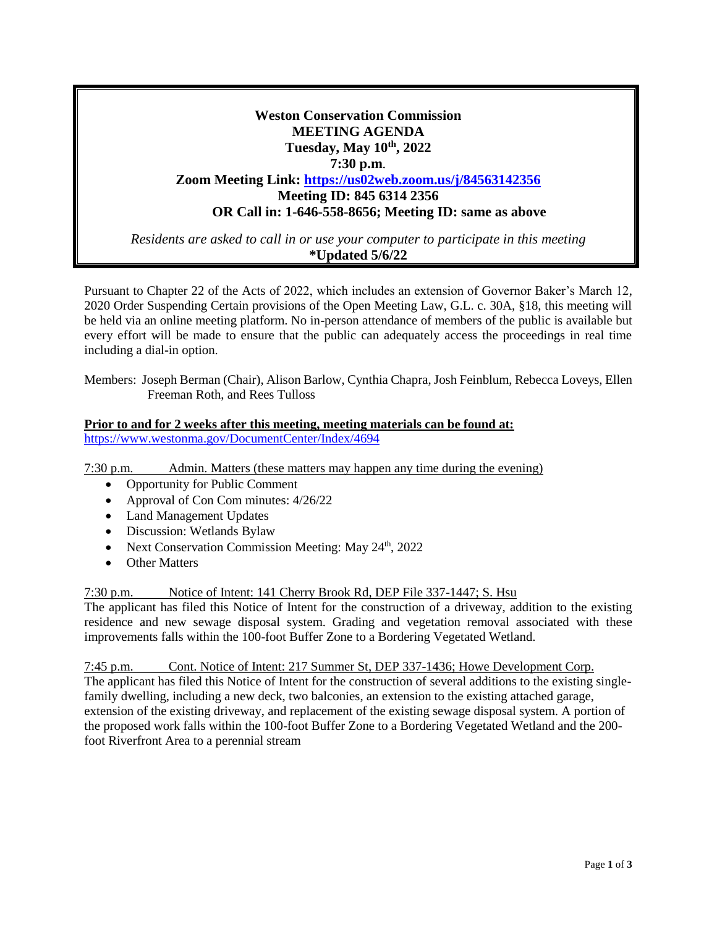# **Weston Conservation Commission MEETING AGENDA Tuesday, May 10th, 2022 7:30 p.m**. **Zoom Meeting Link: <https://us02web.zoom.us/j/84563142356> Meeting ID: 845 6314 2356 OR Call in: 1-646-558-8656; Meeting ID: same as above**

*Residents are asked to call in or use your computer to participate in this meeting* **\*Updated 5/6/22**

Pursuant to Chapter 22 of the Acts of 2022, which includes an extension of Governor Baker's March 12, 2020 Order Suspending Certain provisions of the Open Meeting Law, G.L. c. 30A, §18, this meeting will be held via an online meeting platform. No in-person attendance of members of the public is available but every effort will be made to ensure that the public can adequately access the proceedings in real time including a dial-in option.

Members: Joseph Berman (Chair), Alison Barlow, Cynthia Chapra, Josh Feinblum, Rebecca Loveys, Ellen Freeman Roth, and Rees Tulloss

### **Prior to and for 2 weeks after this meeting, meeting materials can be found at:** <https://www.westonma.gov/DocumentCenter/Index/4694>

7:30 p.m. Admin. Matters (these matters may happen any time during the evening)

- Opportunity for Public Comment
- Approval of Con Com minutes:  $4/26/22$
- Land Management Updates
- Discussion: Wetlands Bylaw
- Next Conservation Commission Meeting: May  $24<sup>th</sup>$ , 2022
- Other Matters

# 7:30 p.m. Notice of Intent: 141 Cherry Brook Rd, DEP File 337-1447; S. Hsu

The applicant has filed this Notice of Intent for the construction of a driveway, addition to the existing residence and new sewage disposal system. Grading and vegetation removal associated with these improvements falls within the 100-foot Buffer Zone to a Bordering Vegetated Wetland.

7:45 p.m. Cont. Notice of Intent: 217 Summer St, DEP 337-1436; Howe Development Corp.

The applicant has filed this Notice of Intent for the construction of several additions to the existing singlefamily dwelling, including a new deck, two balconies, an extension to the existing attached garage, extension of the existing driveway, and replacement of the existing sewage disposal system. A portion of the proposed work falls within the 100-foot Buffer Zone to a Bordering Vegetated Wetland and the 200 foot Riverfront Area to a perennial stream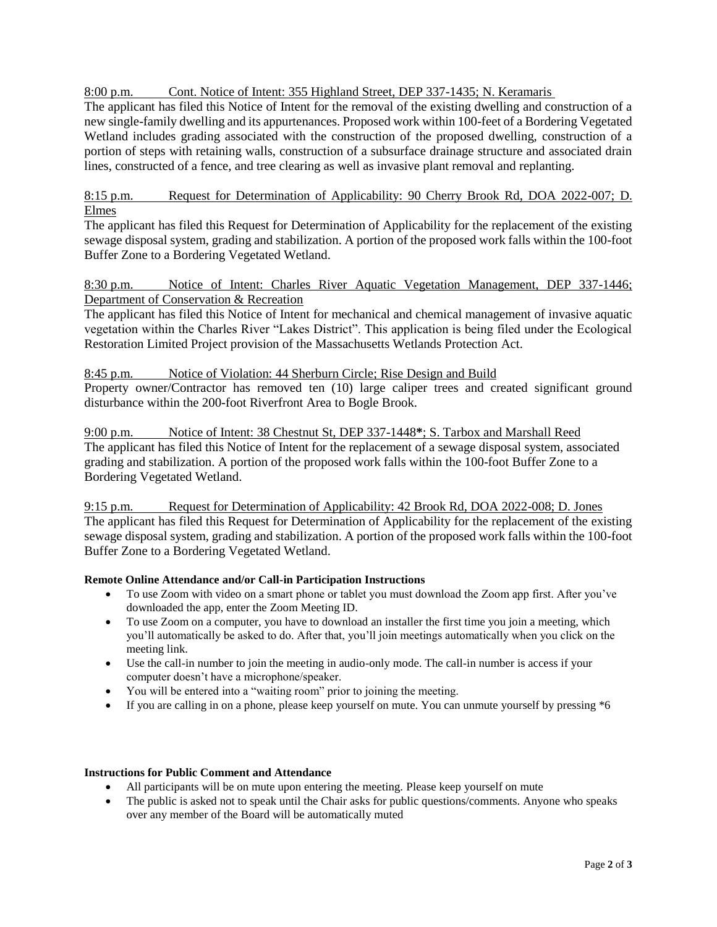8:00 p.m. Cont. Notice of Intent: 355 Highland Street, DEP 337-1435; N. Keramaris

The applicant has filed this Notice of Intent for the removal of the existing dwelling and construction of a new single-family dwelling and its appurtenances. Proposed work within 100-feet of a Bordering Vegetated Wetland includes grading associated with the construction of the proposed dwelling, construction of a portion of steps with retaining walls, construction of a subsurface drainage structure and associated drain lines, constructed of a fence, and tree clearing as well as invasive plant removal and replanting.

8:15 p.m. Request for Determination of Applicability: 90 Cherry Brook Rd, DOA 2022-007; D. Elmes

The applicant has filed this Request for Determination of Applicability for the replacement of the existing sewage disposal system, grading and stabilization. A portion of the proposed work falls within the 100-foot Buffer Zone to a Bordering Vegetated Wetland.

# 8:30 p.m. Notice of Intent: Charles River Aquatic Vegetation Management, DEP 337-1446; Department of Conservation & Recreation

The applicant has filed this Notice of Intent for mechanical and chemical management of invasive aquatic vegetation within the Charles River "Lakes District". This application is being filed under the Ecological Restoration Limited Project provision of the Massachusetts Wetlands Protection Act.

## 8:45 p.m. Notice of Violation: 44 Sherburn Circle; Rise Design and Build

Property owner/Contractor has removed ten (10) large caliper trees and created significant ground disturbance within the 200-foot Riverfront Area to Bogle Brook.

9:00 p.m. Notice of Intent: 38 Chestnut St, DEP 337-1448**\***; S. Tarbox and Marshall Reed The applicant has filed this Notice of Intent for the replacement of a sewage disposal system, associated grading and stabilization. A portion of the proposed work falls within the 100-foot Buffer Zone to a Bordering Vegetated Wetland.

9:15 p.m. Request for Determination of Applicability: 42 Brook Rd, DOA 2022-008; D. Jones The applicant has filed this Request for Determination of Applicability for the replacement of the existing sewage disposal system, grading and stabilization. A portion of the proposed work falls within the 100-foot Buffer Zone to a Bordering Vegetated Wetland.

### **Remote Online Attendance and/or Call-in Participation Instructions**

- To use Zoom with video on a smart phone or tablet you must download the Zoom app first. After you've downloaded the app, enter the Zoom Meeting ID.
- To use Zoom on a computer, you have to download an installer the first time you join a meeting, which you'll automatically be asked to do. After that, you'll join meetings automatically when you click on the meeting link.
- Use the call-in number to join the meeting in audio-only mode. The call-in number is access if your computer doesn't have a microphone/speaker.
- You will be entered into a "waiting room" prior to joining the meeting.
- If you are calling in on a phone, please keep yourself on mute. You can unmute yourself by pressing \*6

#### **Instructions for Public Comment and Attendance**

- All participants will be on mute upon entering the meeting. Please keep yourself on mute
- The public is asked not to speak until the Chair asks for public questions/comments. Anyone who speaks over any member of the Board will be automatically muted